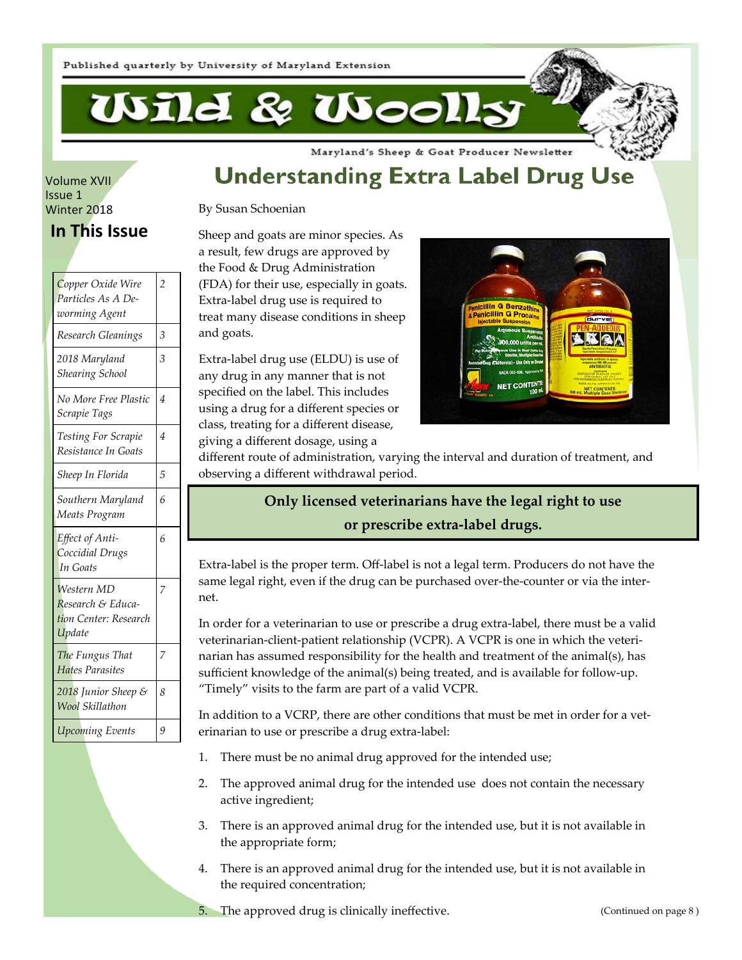Wild & Wooll:

Maryland's Sheep & Goat Producer Newsletter

## **Understanding Extra Label Drug Use**

By Susan Schoenian

Sheep and goats are minor species. As a result, few drugs are approved by the Food & Drug Administration (FDA) for their use, especially in goats. Extra‐label drug use is required to treat many disease conditions in sheep and goats.

Extra‐label drug use (ELDU) is use of any drug in any manner that is not specified on the label. This includes using a drug for a different species or class, treating for a different disease, giving a different dosage, using a



different route of administration, varying the interval and duration of treatment, and observing a different withdrawal period.

### **Only licensed veterinarians have the legal right to use or prescribe extra‐label drugs.**

Extra‐label is the proper term. Off‐label is not a legal term. Producers do not have the same legal right, even if the drug can be purchased over-the-counter or via the internet.

In order for a veterinarian to use or prescribe a drug extra‐label, there must be a valid veterinarian‐client‐patient relationship (VCPR). A VCPR is one in which the veteri‐ narian has assumed responsibility for the health and treatment of the animal(s), has sufficient knowledge of the animal(s) being treated, and is available for follow-up. "Timely" visits to the farm are part of a valid VCPR.

In addition to a VCRP, there are other conditions that must be met in order for a veterinarian to use or prescribe a drug extra‐label:

- 1. There must be no animal drug approved for the intended use;
- 2. The approved animal drug for the intended use does not contain the necessary active ingredient;
- 3. There is an approved animal drug for the intended use, but it is not available in the appropriate form;
- 4. There is an approved animal drug for the intended use, but it is not available in the required concentration;
- 5. The approved drug is clinically ineffective.

**In This Issue**  Volume XVII Issue 1 Winter 2018

| Copper Oxide Wire<br>Particles As A De-<br>worming Agent           | $\overline{2}$ |
|--------------------------------------------------------------------|----------------|
| Research Gleanings                                                 | 3              |
| 2018 Maryland<br>Shearing School                                   | 3              |
| No More Free Plastic<br>Scrapie Tags                               | $\overline{4}$ |
| Testing For Scrapie<br>Resistance In Goats                         | $\overline{4}$ |
| Sheep In Florida                                                   | 5              |
| Southern Maryland<br>Meats Program                                 | 6              |
| Effect of Anti-<br>Coccidial Drugs<br>In Goats                     | 6              |
| Western MD<br>Research & Educa-<br>tion Center: Research<br>Update | 7              |
| The Fungus That<br><b>Hates Parasites</b>                          | 7              |
| 2018 Junior Sheep &<br><b>Wool Skillathon</b>                      | 8              |
| <b>Upcoming Events</b>                                             | 9              |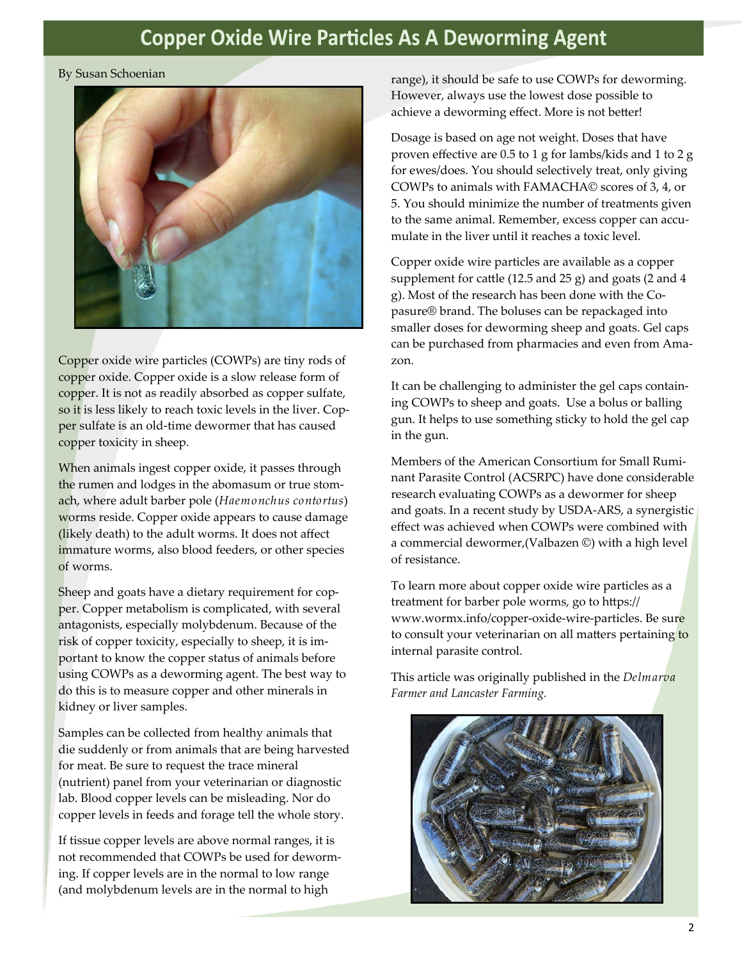## **Copper Oxide Wire Particles As A Deworming Agent**

#### By Susan Schoenian



Copper oxide wire particles (COWPs) are tiny rods of copper oxide. Copper oxide is a slow release form of copper. It is not as readily absorbed as copper sulfate, so it is less likely to reach toxic levels in the liver. Copper sulfate is an old-time dewormer that has caused copper toxicity in sheep.

When animals ingest copper oxide, it passes through the rumen and lodges in the abomasum or true stom‐ ach, where adult barber pole (*Haemonchus contortus*) worms reside. Copper oxide appears to cause damage (likely death) to the adult worms. It does not affect immature worms, also blood feeders, or other species of worms.

Sheep and goats have a dietary requirement for copper. Copper metabolism is complicated, with several antagonists, especially molybdenum. Because of the risk of copper toxicity, especially to sheep, it is im‐ portant to know the copper status of animals before using COWPs as a deworming agent. The best way to do this is to measure copper and other minerals in kidney or liver samples.

Samples can be collected from healthy animals that die suddenly or from animals that are being harvested for meat. Be sure to request the trace mineral (nutrient) panel from your veterinarian or diagnostic lab. Blood copper levels can be misleading. Nor do copper levels in feeds and forage tell the whole story.

If tissue copper levels are above normal ranges, it is not recommended that COWPs be used for deworm‐ ing. If copper levels are in the normal to low range (and molybdenum levels are in the normal to high

range), it should be safe to use COWPs for deworming. However, always use the lowest dose possible to achieve a deworming effect. More is not better!

Dosage is based on age not weight. Doses that have proven effective are 0.5 to 1 g for lambs/kids and 1 to 2 g for ewes/does. You should selectively treat, only giving COWPs to animals with FAMACHA© scores of 3, 4, or 5. You should minimize the number of treatments given to the same animal. Remember, excess copper can accumulate in the liver until it reaches a toxic level.

Copper oxide wire particles are available as a copper supplement for cattle (12.5 and 25 g) and goats (2 and 4 g). Most of the research has been done with the Co‐ pasure® brand. The boluses can be repackaged into smaller doses for deworming sheep and goats. Gel caps can be purchased from pharmacies and even from Ama‐ zon.

It can be challenging to administer the gel caps contain‐ ing COWPs to sheep and goats. Use a bolus or balling gun. It helps to use something sticky to hold the gel cap in the gun.

Members of the American Consortium for Small Rumi‐ nant Parasite Control (ACSRPC) have done considerable research evaluating COWPs as a dewormer for sheep and goats. In a recent study by USDA‐ARS, a synergistic effect was achieved when COWPs were combined with a commercial dewormer,(Valbazen ©) with a high level of resistance.

To learn more about copper oxide wire particles as a treatment for barber pole worms, go to https:// www.wormx.info/copper-oxide-wire-particles. Be sure to consult your veterinarian on all matters pertaining to internal parasite control.

This article was originally published in the *Delmarva Farmer and Lancaster Farming.*

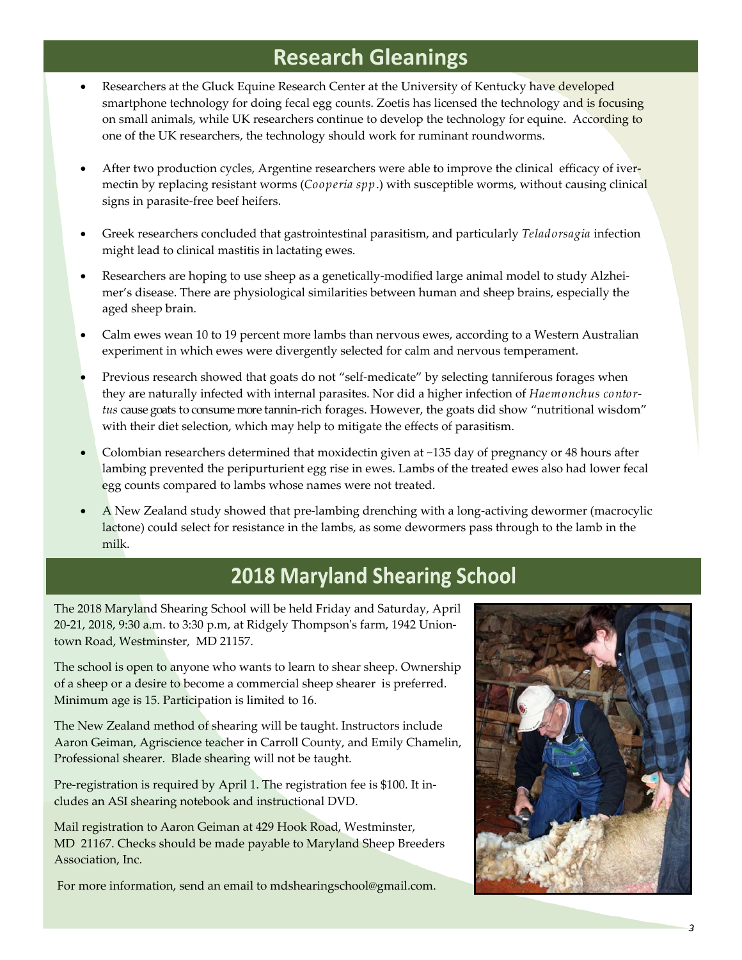### **Research Gleanings**

- Researchers at the Gluck Equine Research Center at the University of Kentucky have developed smartphone technology for doing fecal egg counts. Zoetis has licensed the technology and is focusing on small animals, while UK researchers continue to develop the technology for equine. According to one of the UK researchers, the technology should work for ruminant roundworms.
- After two production cycles, Argentine researchers were able to improve the clinical efficacy of iver‐ mectin by replacing resistant worms (*Cooperia spp*.) with susceptible worms, without causing clinical signs in parasite‐free beef heifers.
- Greek researchers concluded that gastrointestinal parasitism, and particularly *Teladorsagia* infection might lead to clinical mastitis in lactating ewes.
- Researchers are hoping to use sheep as a genetically‐modified large animal model to study Alzhei‐ mer's disease. There are physiological similarities between human and sheep brains, especially the aged sheep brain.
- Calm ewes wean 10 to 19 percent more lambs than nervous ewes, according to a Western Australian experiment in which ewes were divergently selected for calm and nervous temperament.
- Previous research showed that goats do not "self-medicate" by selecting tanniferous forages when they are naturally infected with internal parasites. Nor did a higher infection of *Haemonchus contortus* cause goats to consume more tannin‐rich forages. However, the goats did show "nutritional wisdom" with their diet selection, which may help to mitigate the effects of parasitism.
- Colombian researchers determined that moxidectin given at ~135 day of pregnancy or 48 hours after lambing prevented the peripurturient egg rise in ewes. Lambs of the treated ewes also had lower fecal egg counts compared to lambs whose names were not treated.
- A New Zealand study showed that pre‐lambing drenching with a long‐activing dewormer (macrocylic lactone) could select for resistance in the lambs, as some dewormers pass through to the lamb in the milk.

## **2018 Maryland Shearing School**

The 2018 Maryland Shearing School will be held Friday and Saturday, April 20-21, 2018, 9:30 a.m. to 3:30 p.m, at Ridgely Thompson's farm, 1942 Uniontown Road, Westminster, MD 21157.

The school is open to anyone who wants to learn to shear sheep. Ownership of a sheep or a desire to become a commercial sheep shearer is preferred. Minimum age is 15. Participation is limited to 16.

The New Zealand method of shearing will be taught. Instructors include Aaron Geiman, Agriscience teacher in Carroll County, and Emily Chamelin, Professional shearer. Blade shearing will not be taught.

Pre-registration is required by April 1. The registration fee is \$100. It includes an ASI shearing notebook and instructional DVD.

Mail registration to Aaron Geiman at 429 Hook Road, Westminster, MD 21167. Checks should be made payable to Maryland Sheep Breeders Association, Inc.

For more information, send an email to mdshearingschool@gmail.com.

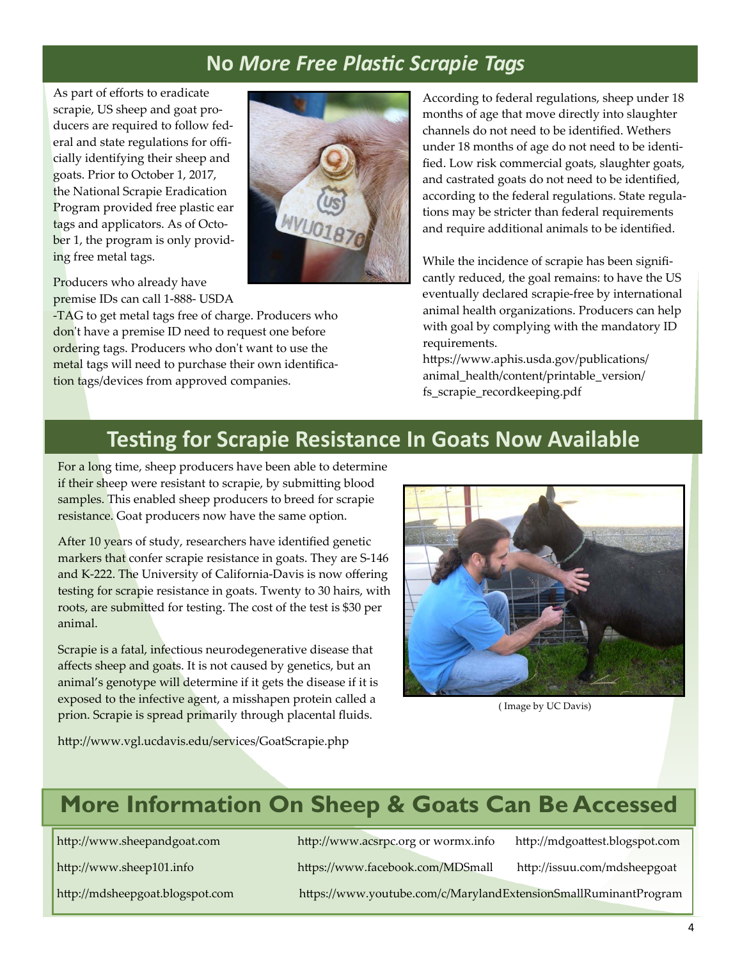### **No** *More Free PlasƟc Scrapie Tags*

As part of efforts to eradicate scrapie, US sheep and goat pro‐ ducers are required to follow fed‐ eral and state regulations for offi‐ cially identifying their sheep and goats. Prior to October 1, 2017, the National Scrapie Eradication Program provided free plastic ear tags and applicators. As of Octo‐ ber 1, the program is only providing free metal tags.

Producers who already have premise IDs can call 1‐888‐ USDA

‐TAG to get metal tags free of charge. Producers who don't have a premise ID need to request one before ordering tags. Producers who donʹt want to use the metal tags will need to purchase their own identification tags/devices from approved companies.



According to federal regulations, sheep under 18 months of age that move directly into slaughter channels do not need to be identified. Wethers under 18 months of age do not need to be identi‐ fied. Low risk commercial goats, slaughter goats, and castrated goats do not need to be identified, according to the federal regulations. State regula‐ tions may be stricter than federal requirements and require additional animals to be identified.

While the incidence of scrapie has been significantly reduced, the goal remains: to have the US eventually declared scrapie‐free by international animal health organizations. Producers can help with goal by complying with the mandatory ID requirements.

https://www.aphis.usda.gov/publications/ animal\_health/content/printable\_version/ fs\_scrapie\_recordkeeping.pdf

### **TesƟng for Scrapie Resistance In Goats Now Available**

For a long time, sheep producers have been able to determine if their sheep were resistant to scrapie, by submitting blood samples. This enabled sheep producers to breed for scrapie resistance. Goat producers now have the same option.

After 10 years of study, researchers have identified genetic markers that confer scrapie resistance in goats. They are S-146 and K‐222. The University of California‐Davis is now offering testing for scrapie resistance in goats. Twenty to 30 hairs, with roots, are submitted for testing. The cost of the test is \$30 per animal.

Scrapie is a fatal, infectious neurodegenerative disease that affects sheep and goats. It is not caused by genetics, but an animal's genotype will determine if it gets the disease if it is exposed to the infective agent, a misshapen protein called a prion. Scrapie is spread primarily through placental fluids.



( Image by UC Davis)

http://www.vgl.ucdavis.edu/services/GoatScrapie.php

## **More Information On Sheep & Goats Can Be Accessed**

http://www.sheepandgoat.com http://www.acsrpc.org or wormx.info http://mdgoattest.blogspot.com http://www.sheep101.info https://www.facebook.com/MDSmall http://issuu.com/mdsheepgoat

http://mdsheepgoat.blogspot.com https://www.youtube.com/c/MarylandExtensionSmallRuminantProgram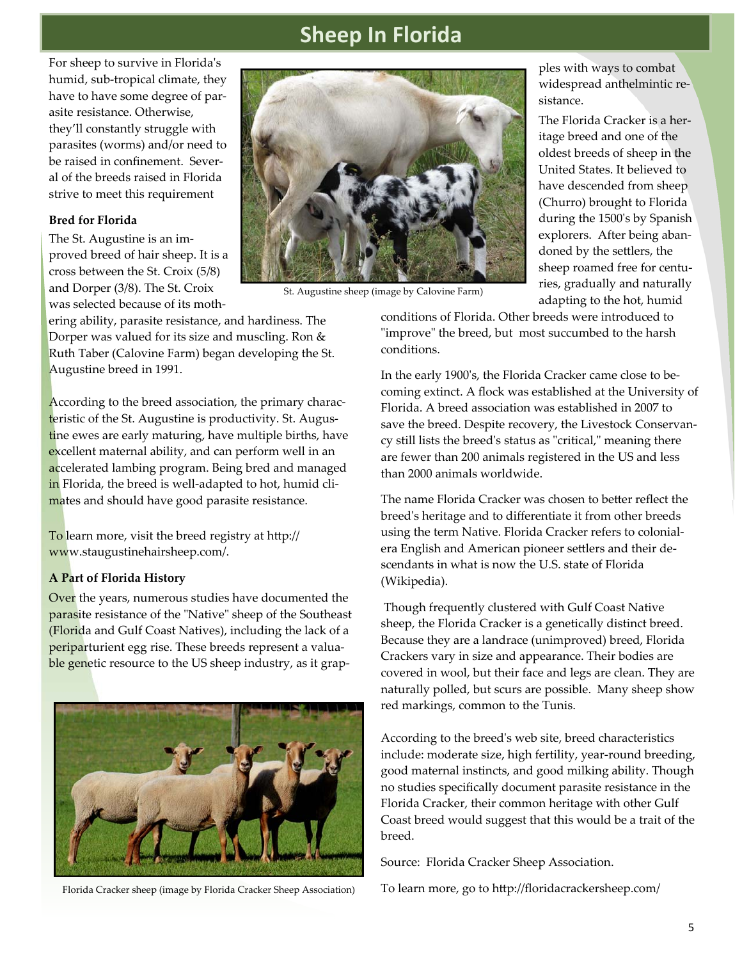### **Sheep In Florida**

For sheep to survive in Floridaʹs humid, sub‐tropical climate, they have to have some degree of par‐ asite resistance. Otherwise, they'll constantly struggle with parasites (worms) and/or need to be raised in confinement. Sever‐ al of the breeds raised in Florida strive to meet this requirement

#### **Bred for Florida**

The St. Augustine is an im‐ proved breed of hair sheep. It is a cross between the St. Croix (5/8) and Dorper (3/8). The St. Croix was selected because of its moth‐

ering ability, parasite resistance, and hardiness. The Dorper was valued for its size and muscling. Ron & Ruth Taber (Calovine Farm) began developing the St. Augustine breed in 1991.

According to the breed association, the primary charac‐ teristic of the St. Augustine is productivity. St. Augustine ewes are early maturing, have multiple births, have excellent maternal ability, and can perform well in an accelerated lambing program. Being bred and managed in Florida, the breed is well-adapted to hot, humid climates and should have good parasite resistance.

To learn more, visit the breed registry at http:// www.staugustinehairsheep.com/.

#### **A Part of Florida History**

Over the years, numerous studies have documented the parasite resistance of the "Native" sheep of the Southeast (Florida and Gulf Coast Natives), including the lack of a periparturient egg rise. These breeds represent a valua‐ ble genetic resource to the US sheep industry, as it grap-



Florida Cracker sheep (image by Florida Cracker Sheep Association)



St. Augustine sheep (image by Calovine Farm)

ples with ways to combat widespread anthelmintic re‐ sistance.

The Florida Cracker is a her‐ itage breed and one of the oldest breeds of sheep in the United States. It believed to have descended from sheep (Churro) brought to Florida during the 1500ʹs by Spanish explorers. After being aban‐ doned by the settlers, the sheep roamed free for centu‐ ries, gradually and naturally adapting to the hot, humid

conditions of Florida. Other breeds were introduced to "improve" the breed, but most succumbed to the harsh conditions.

In the early 1900ʹs, the Florida Cracker came close to be‐ coming extinct. A flock was established at the University of Florida. A breed association was established in 2007 to save the breed. Despite recovery, the Livestock Conservancy still lists the breed's status as "critical," meaning there are fewer than 200 animals registered in the US and less than 2000 animals worldwide.

The name Florida Cracker was chosen to better reflect the breedʹs heritage and to differentiate it from other breeds using the term Native. Florida Cracker refers to colonial‐ era English and American pioneer settlers and their de‐ scendants in what is now the U.S. state of Florida (Wikipedia).

 Though frequently clustered with Gulf Coast Native sheep, the Florida Cracker is a genetically distinct breed. Because they are a landrace (unimproved) breed, Florida Crackers vary in size and appearance. Their bodies are covered in wool, but their face and legs are clean. They are naturally polled, but scurs are possible. Many sheep show red markings, common to the Tunis.

According to the breedʹs web site, breed characteristics include: moderate size, high fertility, year-round breeding, good maternal instincts, and good milking ability. Though no studies specifically document parasite resistance in the Florida Cracker, their common heritage with other Gulf Coast breed would suggest that this would be a trait of the breed.

Source: Florida Cracker Sheep Association.

To learn more, go to http://floridacrackersheep.com/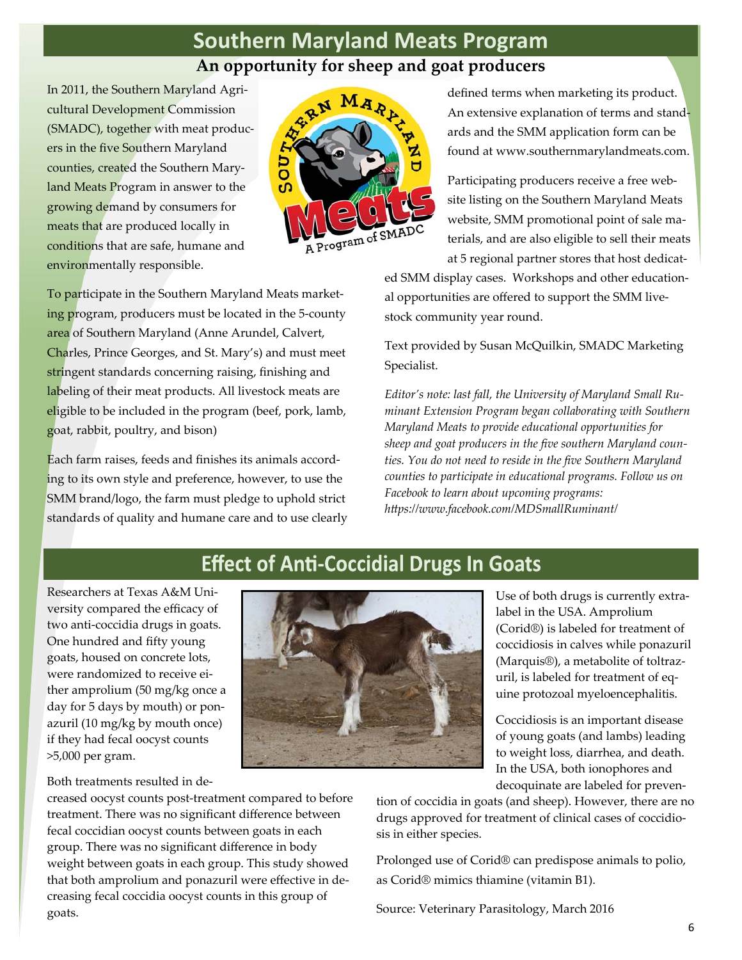### **Southern Maryland Meats Program An opportunity for sheep and goat producers**

In 2011, the Southern Maryland Agri‐ cultural Development Commission (SMADC), together with meat produc‐ ers in the five Southern Maryland counties, created the Southern Mary‐ land Meats Program in answer to the growing demand by consumers for meats that are produced locally in conditions that are safe, humane and environmentally responsible.



To participate in the Southern Maryland Meats market‐ ing program, producers must be located in the 5-county area of Southern Maryland (Anne Arundel, Calvert, Charles, Prince Georges, and St. Mary's) and must meet stringent standards concerning raising, finishing and labeling of their meat products. All livestock meats are eligible to be included in the program (beef, pork, lamb, goat, rabbit, poultry, and bison)

Each farm raises, feeds and finishes its animals accord‐ ing to its own style and preference, however, to use the SMM brand/logo, the farm must pledge to uphold strict standards of quality and humane care and to use clearly defined terms when marketing its product. An extensive explanation of terms and stand‐ ards and the SMM application form can be found at www.southernmarylandmeats.com.

Participating producers receive a free web‐ site listing on the Southern Maryland Meats website, SMM promotional point of sale materials, and are also eligible to sell their meats at 5 regional partner stores that host dedicat‐

ed SMM display cases. Workshops and other education‐ al opportunities are offered to support the SMM live‐ stock community year round.

Text provided by Susan McQuilkin, SMADC Marketing Specialist.

*Editor's note: last fall, the University of Maryland Small Ruminant Extension Program began collaborating with Southern Maryland Meats to provide educational opportunities for sheep and goat producers in the five southern Maryland counties. You do not need to reside in the five Southern Maryland counties to participate in educational programs. Follow us on Facebook to learn about upcoming programs: https://www.facebook.com/MDSmallRuminant/* 

### **Effect of Anti-Coccidial Drugs In Goats**

Researchers at Texas A&M Uni‐ versity compared the efficacy of two anti‐coccidia drugs in goats. One hundred and fifty young goats, housed on concrete lots, were randomized to receive either amprolium (50 mg/kg once a day for 5 days by mouth) or pon‐ azuril (10 mg/kg by mouth once) if they had fecal oocyst counts >5,000 per gram.

Both treatments resulted in de‐

creased oocyst counts post‐treatment compared to before treatment. There was no significant difference between fecal coccidian oocyst counts between goats in each group. There was no significant difference in body weight between goats in each group. This study showed that both amprolium and ponazuril were effective in de‐ creasing fecal coccidia oocyst counts in this group of goats.



Use of both drugs is currently extra‐ label in the USA. Amprolium (Corid®) is labeled for treatment of coccidiosis in calves while ponazuril (Marquis®), a metabolite of toltraz‐ uril, is labeled for treatment of eq‐ uine protozoal myeloencephalitis.

Coccidiosis is an important disease of young goats (and lambs) leading to weight loss, diarrhea, and death. In the USA, both ionophores and decoquinate are labeled for preven‐

tion of coccidia in goats (and sheep). However, there are no drugs approved for treatment of clinical cases of coccidio‐ sis in either species.

Prolonged use of Corid® can predispose animals to polio, as Corid® mimics thiamine (vitamin B1).

Source: Veterinary Parasitology, March 2016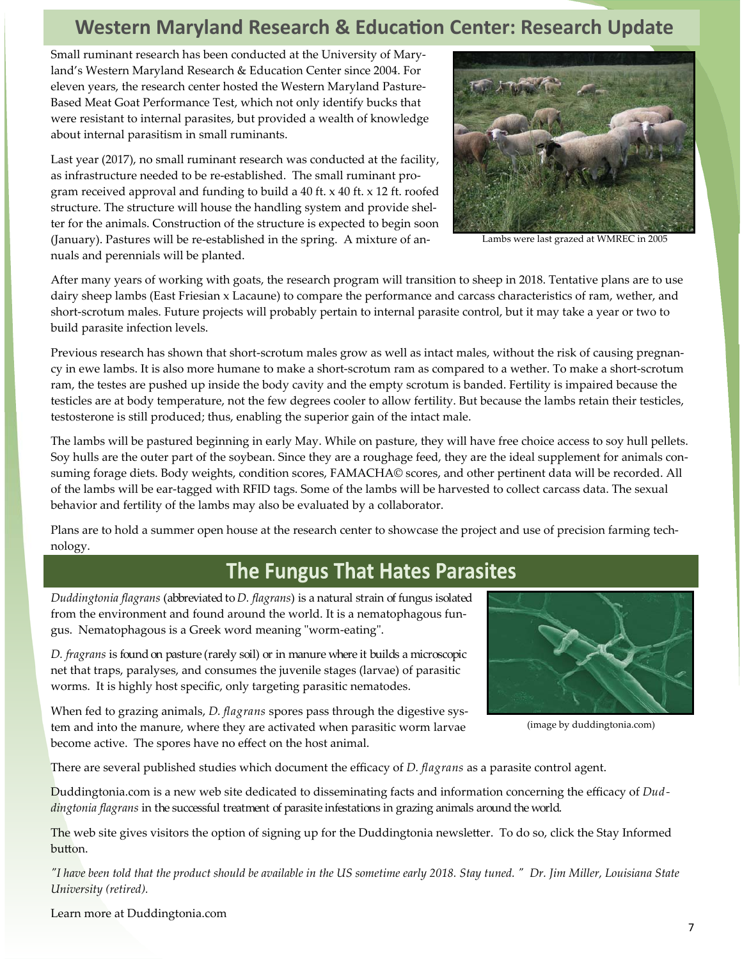### **Western Maryland Research & Education Center: Research Update**

Small ruminant research has been conducted at the University of Mary‐ land's Western Maryland Research & Education Center since 2004. For eleven years, the research center hosted the Western Maryland Pasture‐ Based Meat Goat Performance Test, which not only identify bucks that were resistant to internal parasites, but provided a wealth of knowledge about internal parasitism in small ruminants.

Last year (2017), no small ruminant research was conducted at the facility, as infrastructure needed to be re‐established. The small ruminant pro‐ gram received approval and funding to build a 40 ft. x 40 ft. x 12 ft. roofed structure. The structure will house the handling system and provide shel‐ ter for the animals. Construction of the structure is expected to begin soon (January). Pastures will be re‐established in the spring. A mixture of an‐ nuals and perennials will be planted.



Lambs were last grazed at WMREC in 2005

After many years of working with goats, the research program will transition to sheep in 2018. Tentative plans are to use dairy sheep lambs (East Friesian x Lacaune) to compare the performance and carcass characteristics of ram, wether, and short-scrotum males. Future projects will probably pertain to internal parasite control, but it may take a year or two to build parasite infection levels.

Previous research has shown that short-scrotum males grow as well as intact males, without the risk of causing pregnancy in ewe lambs. It is also more humane to make a short‐scrotum ram as compared to a wether. To make a short‐scrotum ram, the testes are pushed up inside the body cavity and the empty scrotum is banded. Fertility is impaired because the testicles are at body temperature, not the few degrees cooler to allow fertility. But because the lambs retain their testicles, testosterone is still produced; thus, enabling the superior gain of the intact male.

The lambs will be pastured beginning in early May. While on pasture, they will have free choice access to soy hull pellets. Soy hulls are the outer part of the soybean. Since they are a roughage feed, they are the ideal supplement for animals consuming forage diets. Body weights, condition scores, FAMACHA© scores, and other pertinent data will be recorded. All of the lambs will be ear‐tagged with RFID tags. Some of the lambs will be harvested to collect carcass data. The sexual behavior and fertility of the lambs may also be evaluated by a collaborator.

Plans are to hold a summer open house at the research center to showcase the project and use of precision farming technology.

### The Fungus That Hates Parasites

*Duddingtonia flagrans* (abbreviated to *D. flagrans*) is a natural strain of fungus isolated from the environment and found around the world. It is a nematophagous fungus. Nematophagous is a Greek word meaning "worm-eating".

*D. fragrans* is found on pasture (rarely soil) or in manure where it builds a microscopic net that traps, paralyses, and consumes the juvenile stages (larvae) of parasitic worms. It is highly host specific, only targeting parasitic nematodes.

When fed to grazing animals, *D. flagrans* spores pass through the digestive system and into the manure, where they are activated when parasitic worm larvae become active. The spores have no effect on the host animal.



(image by duddingtonia.com)

There are several published studies which document the efficacy of *D. flagrans* as a parasite control agent.

Duddingtonia.com is a new web site dedicated to disseminating facts and information concerning the efficacy of *Duddingtonia flagrans* in the successful treatment of parasite infestations in grazing animals around the world.

The web site gives visitors the option of signing up for the Duddingtonia newsletter. To do so, click the Stay Informed button.

*ʺI have been told that the product should be available in the US sometime early 2018. Stay tuned. ʺ Dr. Jim Miller, Louisiana State University (retired).* 

Learn more at Duddingtonia.com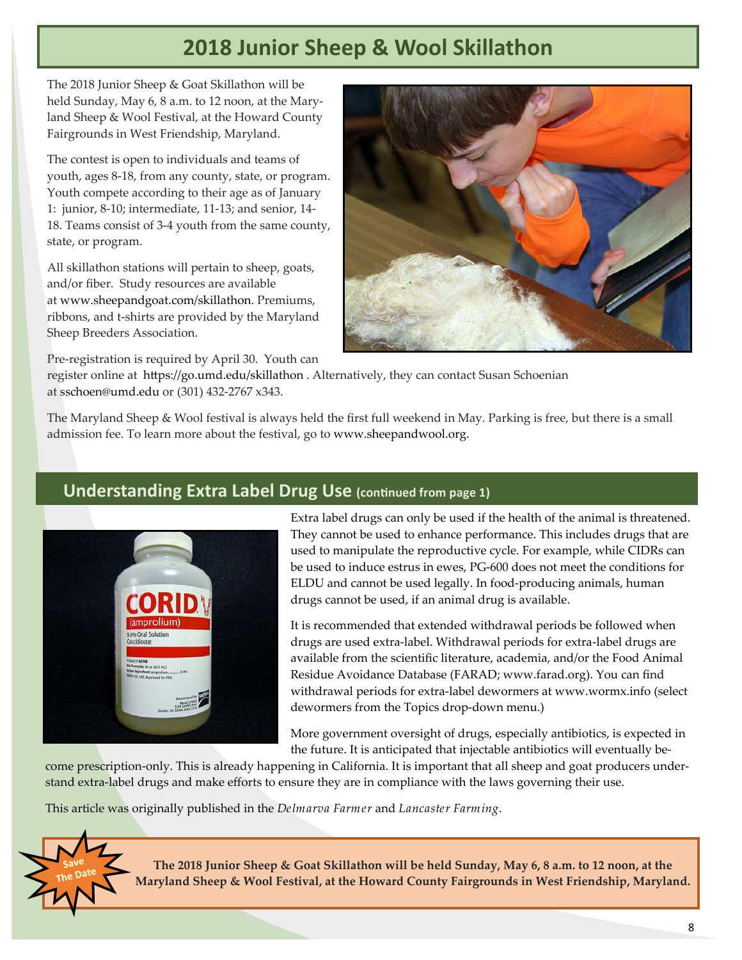## **2018 Junior Sheep & Wool Skillathon**

The 2018 Junior Sheep & Goat Skillathon will be held Sunday, May 6, 8 a.m. to 12 noon, at the Mary‐ land Sheep & Wool Festival, at the Howard County Fairgrounds in West Friendship, Maryland.

The contest is open to individuals and teams of youth, ages 8‐18, from any county, state, or program. Youth compete according to their age as of January 1: junior, 8‐10; intermediate, 11‐13; and senior, 14‐ 18. Teams consist of 3‐4 youth from the same county, state, or program.

All skillathon stations will pertain to sheep, goats, and/or fiber. Study resources are available at www.sheepandgoat.com/skillathon. Premiums, ribbons, and t‐shirts are provided by the Maryland Sheep Breeders Association.



Pre‐registration is required by April 30. Youth can register online at https://go.umd.edu/skillathon . Alternatively, they can contact Susan Schoenian at sschoen@umd.edu or (301) 432‐2767 x343.

The Maryland Sheep & Wool festival is always held the first full weekend in May. Parking is free, but there is a small admission fee. To learn more about the festival, go to www.sheepandwool.org.

### **Understanding Extra Label Drug Use (continued from page 1)**



Extra label drugs can only be used if the health of the animal is threatened. They cannot be used to enhance performance. This includes drugs that are used to manipulate the reproductive cycle. For example, while CIDRs can be used to induce estrus in ewes, PG‐600 does not meet the conditions for ELDU and cannot be used legally. In food‐producing animals, human drugs cannot be used, if an animal drug is available.

It is recommended that extended withdrawal periods be followed when drugs are used extra‐label. Withdrawal periods for extra‐label drugs are available from the scientific literature, academia, and/or the Food Animal Residue Avoidance Database (FARAD; www.farad.org). You can find withdrawal periods for extra‐label dewormers at www.wormx.info (select dewormers from the Topics drop‐down menu.)

More government oversight of drugs, especially antibiotics, is expected in the future. It is anticipated that injectable antibiotics will eventually be‐

come prescription-only. This is already happening in California. It is important that all sheep and goat producers understand extra-label drugs and make efforts to ensure they are in compliance with the laws governing their use.

This article was originally published in the *Delmarva Farmer* and *Lancaster Farming*.



**The 2018 Junior Sheep & Goat Skillathon will be held Sunday, May 6, 8 a.m. to 12 noon, at the Maryland Sheep & Wool Festival, at the Howard County Fairgrounds in West Friendship, Maryland.**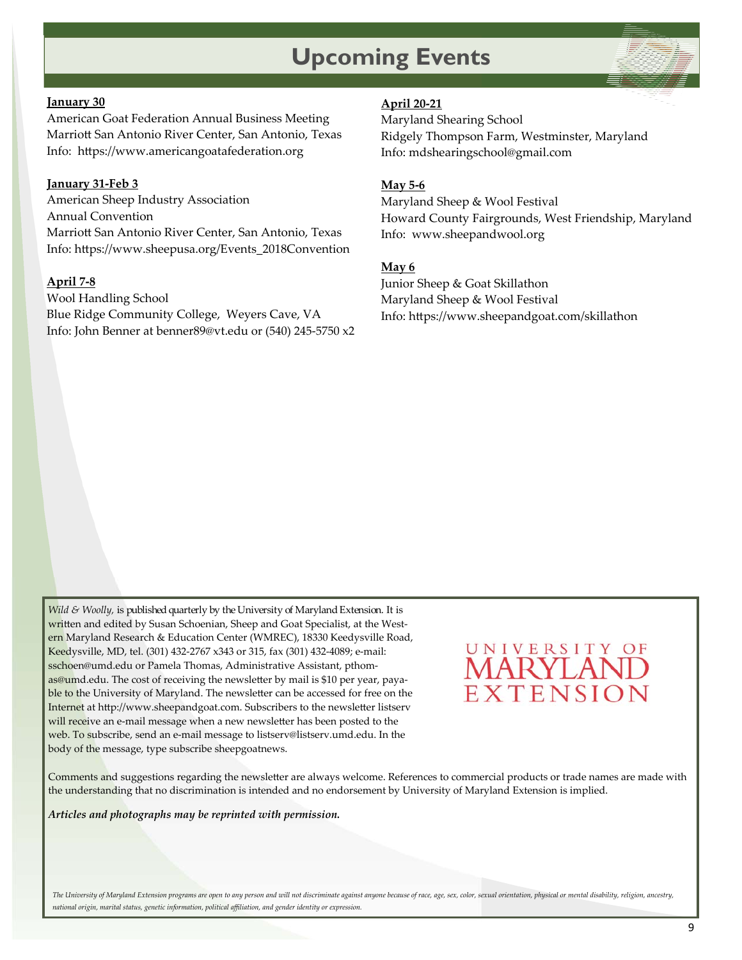## **Upcoming Events**



#### **January 30**

American Goat Federation Annual Business Meeting Marriott San Antonio River Center, San Antonio, Texas Info: https://www.americangoatafederation.org

#### **January 31‐Feb 3**

American Sheep Industry Association Annual Convention Marriott San Antonio River Center, San Antonio, Texas Info: https://www.sheepusa.org/Events\_2018Convention

#### **April 7‐8**

Wool Handling School Blue Ridge Community College, Weyers Cave, VA Info: John Benner at benner89@vt.edu or (540) 245‐5750 x2

### **April 20‐21**

Maryland Shearing School Ridgely Thompson Farm, Westminster, Maryland Info: mdshearingschool@gmail.com

#### **May 5‐6**

Maryland Sheep & Wool Festival Howard County Fairgrounds, West Friendship, Maryland Info: www.sheepandwool.org

#### **May 6**

Junior Sheep & Goat Skillathon Maryland Sheep & Wool Festival Info: https://www.sheepandgoat.com/skillathon

*Wild & Woolly,* is published quarterly by the University of Maryland Extension. It is written and edited by Susan Schoenian, Sheep and Goat Specialist, at the Western Maryland Research & Education Center (WMREC), 18330 Keedysville Road, Keedysville, MD, tel. (301) 432‐2767 x343 or 315, fax (301) 432‐4089; e‐mail: sschoen@umd.edu or Pamela Thomas, Administrative Assistant, pthom‐ as@umd.edu. The cost of receiving the newsletter by mail is \$10 per year, payable to the University of Maryland. The newsletter can be accessed for free on the Internet at http://www.sheepandgoat.com. Subscribers to the newsletter listserv will receive an e-mail message when a new newsletter has been posted to the web. To subscribe, send an e-mail message to listserv@listserv.umd.edu. In the body of the message, type subscribe sheepgoatnews.

# UNIVERSITY OF EXTENSION

Comments and suggestions regarding the newsletter are always welcome. References to commercial products or trade names are made with the understanding that no discrimination is intended and no endorsement by University of Maryland Extension is implied.

*Articles and photographs may be reprinted with permission.* 

*The University of Maryland Extension programs are open to any person and will not discriminate against anyone because of race, age, sex, color, sexual orientation, physical or mental disability, religion, ancestry, national origin, marital status, genetic information, political affiliation, and gender identity or expression.*